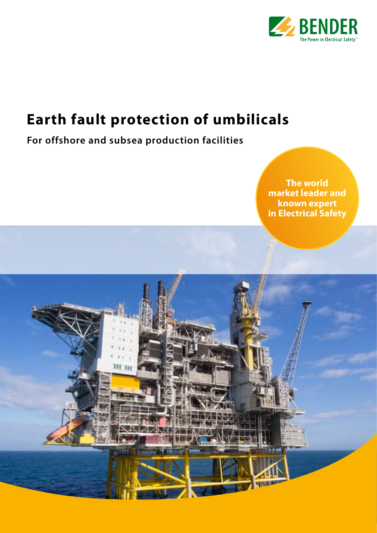

## **Earth fault protection of umbilicals**

## **For offshore and subsea production facilities**

m n

**The world market leader and known expert in Electrical Safety**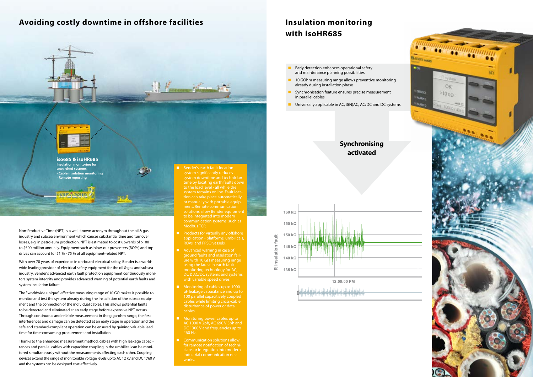- and maintenance planning possibilities
- already during installation phase
- in parallel cables
- 

# **activated**



**iso685 & isoHR685 Insulation monitoring for unearthed systems - Cable insulation monitoring - Remote reporting**

**Bender's earth fault location** system significantly reduces to the load level - all while the system remains online. Fault loca-Modbus TCP.

## **Avoiding costly downtime in offshore facilities Insulation monitoring**





*KNHZANNIN* 

- **Products for virtually any offshore** application - platforms, umbilicals, ROVs, and FPSO vessels.
- Advanced warning in case of ground faults and insulation failure with 10 GΩ measuring range using the latest in earth fault monitoring technology for AC,
- µF leakage capacitance and up to 100 parallel capacitively coupled cables.
- **Monitoring power cables up to** AC 1000 V 2ph, AC 690 V 3ph and 460 Hz.
- Communication solutions allow cians or integration into modern

Non-Productive Time (NPT) is a well-known acronym throughout the oil & gas industry and subsea environment which causes substantial time and turnover losses, e.g. in petroleum production. NPT is estimated to cost upwards of \$100 to \$500 million annually. Equipment such as blow-out preventers (BOPs) and top drives can account for 51 % - 75 % of all equipment-related NPT.

With over 70 years of experience in on-board electrical safety, Bender is a worldwide leading provider of electrical safety equipment for the oil & gas and subsea industry. Bender's advanced earth fault protection equipment continuously monitors system integrity and provides advanced warning of potential earth faults and system insulation failure.

The "worldwide unique" effective measuring range of 10 GΩ makes it possible to monitor and test the system already during the installation of the subsea equipment and the connection of the individual cables. This allows potential faults to be detected and eliminated at an early stage before expensive NPT occurs. Through continuous and reliable measurement in the giga-ohm range, the first interferences and damage can be detected at an early stage in operation and the safe and standard-compliant operation can be ensured by gaining valuable lead time for time-consuming procurement and installation.

Thanks to the enhanced measurement method, cables with high leakage capacitances and parallel cables with capacitive coupling in the umbilical can be monitored simultaneously without the measurements affecting each other. Coupling devices extend the range of monitorable voltage levels up to AC 12 kV and DC 1760 V and the systems can be designed cost-effectively.